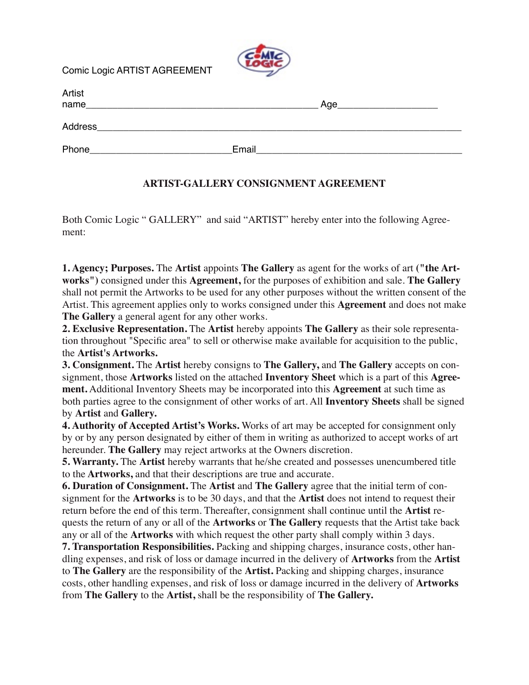Comic Logic ARTIST AGREEMENT



| Artist  |       |     |
|---------|-------|-----|
| name    |       | Age |
|         |       |     |
| Address |       |     |
| Phone   | Email |     |

## **ARTIST-GALLERY CONSIGNMENT AGREEMENT**

Both Comic Logic " GALLERY" and said "ARTIST" hereby enter into the following Agreement:

**1. Agency; Purposes.** The **Artist** appoints **The Gallery** as agent for the works of art **("the Artworks")** consigned under this **Agreement,** for the purposes of exhibition and sale. **The Gallery** shall not permit the Artworks to be used for any other purposes without the written consent of the Artist. This agreement applies only to works consigned under this **Agreement** and does not make **The Gallery** a general agent for any other works.

**2. Exclusive Representation.** The **Artist** hereby appoints **The Gallery** as their sole representation throughout "Specific area" to sell or otherwise make available for acquisition to the public, the **Artist's Artworks.**

**3. Consignment.** The **Artist** hereby consigns to **The Gallery,** and **The Gallery** accepts on consignment, those **Artworks** listed on the attached **Inventory Sheet** which is a part of this **Agreement.** Additional Inventory Sheets may be incorporated into this **Agreement** at such time as both parties agree to the consignment of other works of art. All **Inventory Sheets** shall be signed by **Artist** and **Gallery.**

**4. Authority of Accepted Artist's Works.** Works of art may be accepted for consignment only by or by any person designated by either of them in writing as authorized to accept works of art hereunder. **The Gallery** may reject artworks at the Owners discretion.

**5. Warranty.** The **Artist** hereby warrants that he/she created and possesses unencumbered title to the **Artworks,** and that their descriptions are true and accurate.

**6. Duration of Consignment.** The **Artist** and **The Gallery** agree that the initial term of consignment for the **Artworks** is to be 30 days, and that the **Artist** does not intend to request their return before the end of this term. Thereafter, consignment shall continue until the **Artist** requests the return of any or all of the **Artworks** or **The Gallery** requests that the Artist take back any or all of the **Artworks** with which request the other party shall comply within 3 days.

**7. Transportation Responsibilities.** Packing and shipping charges, insurance costs, other handling expenses, and risk of loss or damage incurred in the delivery of **Artworks** from the **Artist** to **The Gallery** are the responsibility of the **Artist.** Packing and shipping charges, insurance costs, other handling expenses, and risk of loss or damage incurred in the delivery of **Artworks**  from **The Gallery** to the **Artist,** shall be the responsibility of **The Gallery.**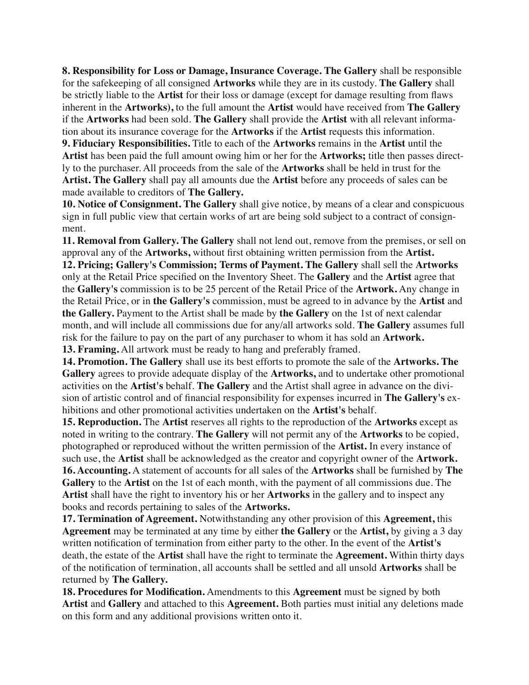**8. Responsibility for Loss or Damage, Insurance Coverage. The Gallery** shall be responsible for the safekeeping of all consigned **Artworks** while they are in its custody. **The Gallery** shall be strictly liable to the **Artist** for their loss or damage (except for damage resulting from flaws inherent in the **Artworks),** to the full amount the **Artist** would have received from **The Gallery** if the **Artworks** had been sold. **The Gallery** shall provide the **Artist** with all relevant information about its insurance coverage for the **Artworks** if the **Artist** requests this information.

**9. Fiduciary Responsibilities.** Title to each of the **Artworks** remains in the **Artist** until the **Artist** has been paid the full amount owing him or her for the **Artworks;** title then passes directly to the purchaser. All proceeds from the sale of the **Artworks** shall be held in trust for the **Artist. The Gallery** shall pay all amounts due the **Artist** before any proceeds of sales can be made available to creditors of **The Gallery.**

**10. Notice of Consignment. The Gallery** shall give notice, by means of a clear and conspicuous sign in full public view that certain works of art are being sold subject to a contract of consignment.

**11. Removal from Gallery. The Gallery** shall not lend out, remove from the premises, or sell on approval any of the **Artworks,** without first obtaining written permission from the **Artist.**

**12. Pricing; Gallery's Commission; Terms of Payment. The Gallery** shall sell the **Artworks** only at the Retail Price specified on the Inventory Sheet. The **Gallery** and the **Artist** agree that the **Gallery's** commission is to be 25 percent of the Retail Price of the **Artwork.** Any change in the Retail Price, or in **the Gallery's** commission, must be agreed to in advance by the **Artist** and **the Gallery.** Payment to the Artist shall be made by **the Gallery** on the 1st of next calendar month, and will include all commissions due for any/all artworks sold. **The Gallery** assumes full risk for the failure to pay on the part of any purchaser to whom it has sold an **Artwork.**

**13. Framing.** All artwork must be ready to hang and preferably framed.

**14. Promotion. The Gallery** shall use its best efforts to promote the sale of the **Artworks. The Gallery** agrees to provide adequate display of the **Artworks,** and to undertake other promotional activities on the **Artist's** behalf. **The Gallery** and the Artist shall agree in advance on the division of artistic control and of financial responsibility for expenses incurred in **The Gallery's** exhibitions and other promotional activities undertaken on the **Artist's** behalf.

**15. Reproduction.** The **Artist** reserves all rights to the reproduction of the **Artworks** except as noted in writing to the contrary. **The Gallery** will not permit any of the **Artworks** to be copied, photographed or reproduced without the written permission of the **Artist.** In every instance of such use, the **Artist** shall be acknowledged as the creator and copyright owner of the **Artwork. 16. Accounting.** A statement of accounts for all sales of the **Artworks** shall be furnished by **The Gallery** to the **Artist** on the 1st of each month, with the payment of all commissions due. The **Artist** shall have the right to inventory his or her **Artworks** in the gallery and to inspect any books and records pertaining to sales of the **Artworks.**

**17. Termination of Agreement.** Notwithstanding any other provision of this **Agreement,** this **Agreement** may be terminated at any time by either **the Gallery** or the **Artist,** by giving a 3 day written notification of termination from either party to the other. In the event of the **Artist's** death, the estate of the **Artist** shall have the right to terminate the **Agreement.** Within thirty days of the notification of termination, all accounts shall be settled and all unsold **Artworks** shall be returned by **The Gallery.**

**18. Procedures for Modification.** Amendments to this **Agreement** must be signed by both **Artist** and **Gallery** and attached to this **Agreement.** Both parties must initial any deletions made on this form and any additional provisions written onto it.